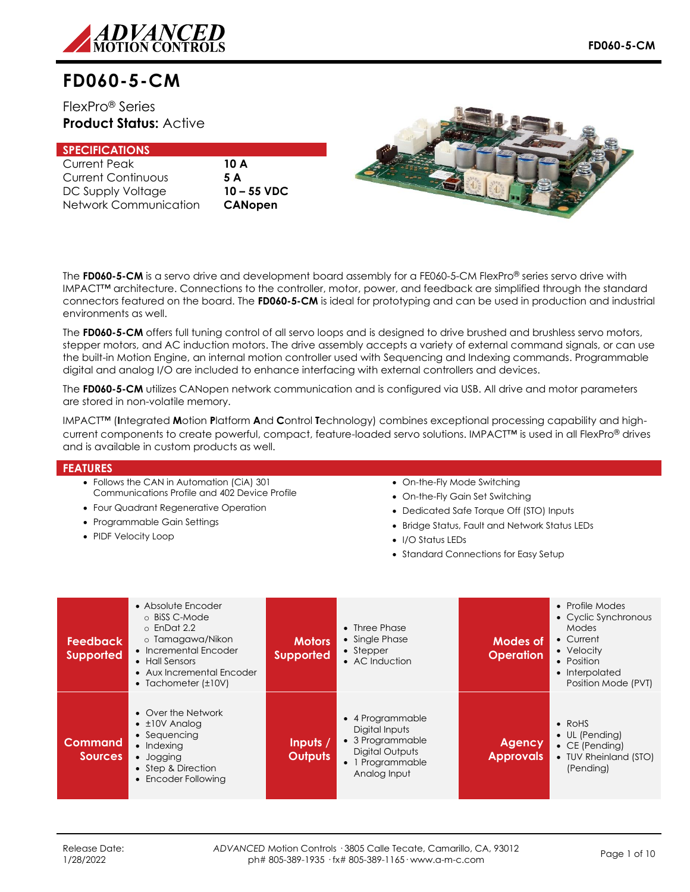

FlexPro® Series **Product Status:** Active

## **SPECIFICATIONS**

| <b>Current Peak</b>   | 10 J |
|-----------------------|------|
| Current Continuous    | 5 A  |
| DC Supply Voltage     | 10 - |
| Network Communication | CА   |

10 A DC Supply Voltage **10 – 55 VDC** Network Communication **CANopen**



The **FD060-5-CM** is a servo drive and development board assembly for a FE060-5-CM FlexPro® series servo drive with IMPACT™ architecture. Connections to the controller, motor, power, and feedback are simplified through the standard connectors featured on the board. The **FD060-5-CM** is ideal for prototyping and can be used in production and industrial environments as well.

The **FD060-5-CM** offers full tuning control of all servo loops and is designed to drive brushed and brushless servo motors, stepper motors, and AC induction motors. The drive assembly accepts a variety of external command signals, or can use the built-in Motion Engine, an internal motion controller used with Sequencing and Indexing commands. Programmable digital and analog I/O are included to enhance interfacing with external controllers and devices.

The **FD060-5-CM** utilizes CANopen network communication and is configured via USB. All drive and motor parameters are stored in non-volatile memory.

IMPACT™ (**I**ntegrated **M**otion **P**latform **A**nd **C**ontrol **T**echnology) combines exceptional processing capability and highcurrent components to create powerful, compact, feature-loaded servo solutions. IMPACT™ is used in all FlexPro® drives and is available in custom products as well.

### **FEATURES**

- Follows the CAN in Automation (CiA) 301
- Communications Profile and 402 Device Profile
- Four Quadrant Regenerative Operation
- Programmable Gain Settings
- PIDF Velocity Loop
- On-the-Fly Mode Switching
- On-the-Fly Gain Set Switching
- Dedicated Safe Torque Off (STO) Inputs
- Bridge Status, Fault and Network Status LEDs
- I/O Status LEDs
- Standard Connections for Easy Setup

| <b>Feedback</b><br><b>Supported</b> | • Absolute Encoder<br>o BiSS C-Mode<br>$\circ$ EnDat 2.2<br>o Tamagawa/Nikon<br>• Incremental Encoder<br>• Hall Sensors<br>• Aux Incremental Encoder<br>• Tachometer $(\pm 10V)$ | <b>Motors</b><br><b>Supported</b> | $\bullet$ Three Phase<br>• Single Phase<br>• Stepper<br>• AC Induction                                      | Modes of<br><b>Operation</b>      | • Profile Modes<br>• Cyclic Synchronous<br>Modes<br>• Current<br>• Velocity<br>• Position<br>• Interpolated<br>Position Mode (PVT) |
|-------------------------------------|----------------------------------------------------------------------------------------------------------------------------------------------------------------------------------|-----------------------------------|-------------------------------------------------------------------------------------------------------------|-----------------------------------|------------------------------------------------------------------------------------------------------------------------------------|
| <b>Command</b><br><b>Sources</b>    | • Over the Network<br>$\bullet$ $\pm$ 10V Analog<br>• Sequencing<br>$\bullet$ Indexing<br>• Jogging<br>• Step & Direction<br>• Encoder Following                                 | Inputs /<br><b>Outputs</b>        | • 4 Programmable<br>Digital Inputs<br>• 3 Programmable<br>Digital Outputs<br>1 Programmable<br>Analog Input | <b>Agency</b><br><b>Approvals</b> | $\bullet$ RoHS<br>• UL (Pending)<br>$\bullet$ CE (Pending)<br>• TUV Rheinland (STO)<br>(Pending)                                   |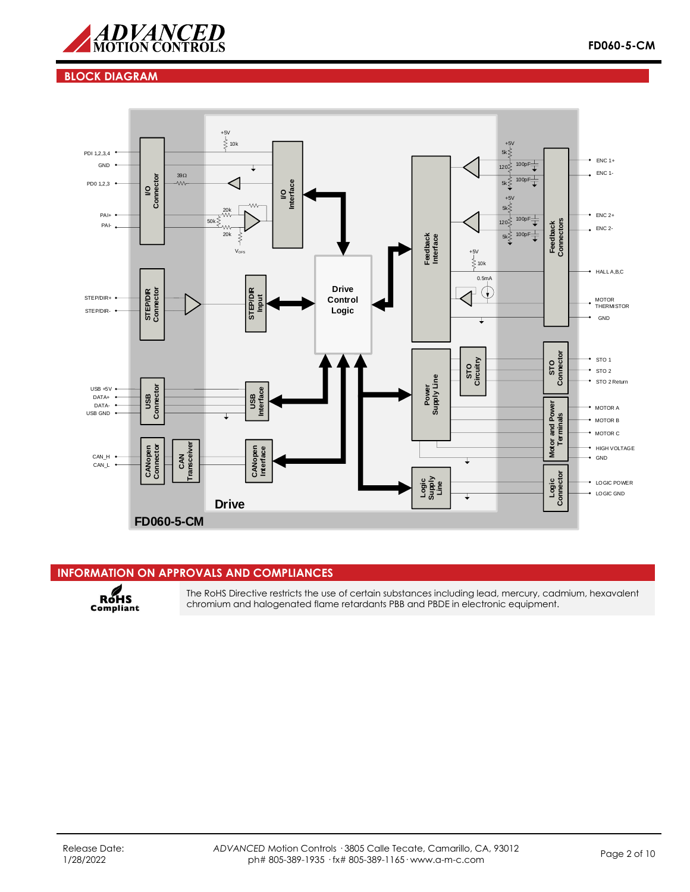

## **BLOCK DIAGRAM**



### **INFORMATION ON APPROVALS AND COMPLIANCES**

RoHS<br>Compliant

The RoHS Directive restricts the use of certain substances including lead, mercury, cadmium, hexavalent chromium and halogenated flame retardants PBB and PBDE in electronic equipment.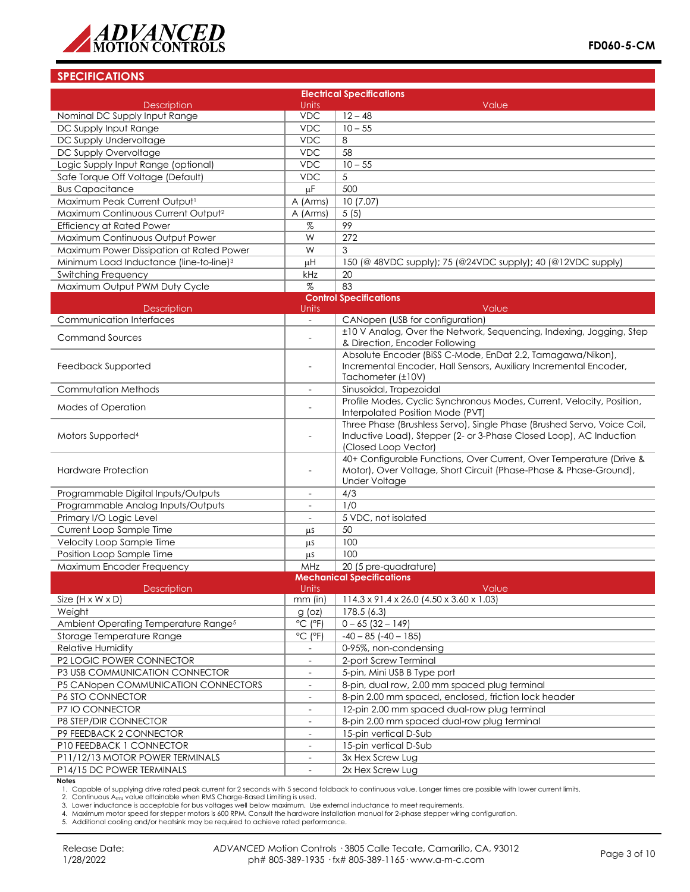

|                                                     | <b>Electrical Specifications</b>         |                                                                                                                                                                       |  |  |  |  |
|-----------------------------------------------------|------------------------------------------|-----------------------------------------------------------------------------------------------------------------------------------------------------------------------|--|--|--|--|
| <b>Description</b>                                  | <b>Units</b>                             | Value                                                                                                                                                                 |  |  |  |  |
| Nominal DC Supply Input Range                       | <b>VDC</b>                               | $12 - 48$                                                                                                                                                             |  |  |  |  |
| DC Supply Input Range                               | <b>VDC</b>                               | $10 - 55$                                                                                                                                                             |  |  |  |  |
| DC Supply Undervoltage                              | <b>VDC</b>                               | 8                                                                                                                                                                     |  |  |  |  |
| DC Supply Overvoltage                               | <b>VDC</b>                               | 58                                                                                                                                                                    |  |  |  |  |
| Logic Supply Input Range (optional)                 | <b>VDC</b>                               | $10 - 55$                                                                                                                                                             |  |  |  |  |
| Safe Torque Off Voltage (Default)                   | <b>VDC</b>                               | 5                                                                                                                                                                     |  |  |  |  |
| <b>Bus Capacitance</b>                              | μF                                       | 500                                                                                                                                                                   |  |  |  |  |
| Maximum Peak Current Output1                        | A (Arms)                                 | 10(7.07)                                                                                                                                                              |  |  |  |  |
| Maximum Continuous Current Output <sup>2</sup>      | A (Arms)                                 | 5(5)                                                                                                                                                                  |  |  |  |  |
| <b>Efficiency at Rated Power</b>                    | $\%$                                     | 99                                                                                                                                                                    |  |  |  |  |
| Maximum Continuous Output Power                     | W                                        | 272                                                                                                                                                                   |  |  |  |  |
| Maximum Power Dissipation at Rated Power            | W                                        | 3                                                                                                                                                                     |  |  |  |  |
| Minimum Load Inductance (line-to-line) <sup>3</sup> | $\mu$ H                                  | 150 (@ 48VDC supply); 75 (@24VDC supply); 40 (@12VDC supply)                                                                                                          |  |  |  |  |
| <b>Switching Frequency</b>                          | kHz                                      | 20                                                                                                                                                                    |  |  |  |  |
| Maximum Output PWM Duty Cycle                       | $\%$                                     | 83                                                                                                                                                                    |  |  |  |  |
|                                                     |                                          | <b>Control Specifications</b>                                                                                                                                         |  |  |  |  |
| <b>Description</b>                                  | Units                                    | Value                                                                                                                                                                 |  |  |  |  |
| <b>Communication Interfaces</b>                     | $\mathbb{L}^{\mathbb{N}}$                | CANopen (USB for configuration)                                                                                                                                       |  |  |  |  |
| <b>Command Sources</b>                              | $\overline{a}$                           | ±10 V Analog, Over the Network, Sequencing, Indexing, Jogging, Step<br>& Direction, Encoder Following                                                                 |  |  |  |  |
| Feedback Supported                                  | $\overline{a}$                           | Absolute Encoder (BiSS C-Mode, EnDat 2.2, Tamagawa/Nikon),<br>Incremental Encoder, Hall Sensors, Auxiliary Incremental Encoder,<br>Tachometer (±10V)                  |  |  |  |  |
| Commutation Methods                                 | $\overline{\phantom{a}}$                 | Sinusoidal, Trapezoidal                                                                                                                                               |  |  |  |  |
| Modes of Operation                                  | $\overline{a}$                           | Profile Modes, Cyclic Synchronous Modes, Current, Velocity, Position,<br>Interpolated Position Mode (PVT)                                                             |  |  |  |  |
| Motors Supported <sup>4</sup>                       |                                          | Three Phase (Brushless Servo), Single Phase (Brushed Servo, Voice Coil,<br>Inductive Load), Stepper (2- or 3-Phase Closed Loop), AC Induction<br>(Closed Loop Vector) |  |  |  |  |
| <b>Hardware Protection</b>                          | $\overline{a}$                           | 40+ Configurable Functions, Over Current, Over Temperature (Drive &<br>Motor), Over Voltage, Short Circuit (Phase-Phase & Phase-Ground),<br><b>Under Voltage</b>      |  |  |  |  |
| Programmable Digital Inputs/Outputs                 | $\overline{\phantom{a}}$                 | 4/3                                                                                                                                                                   |  |  |  |  |
| Programmable Analog Inputs/Outputs                  | $\overline{a}$                           | 1/0                                                                                                                                                                   |  |  |  |  |
| Primary I/O Logic Level                             | $\overline{\phantom{a}}$                 | 5 VDC, not isolated                                                                                                                                                   |  |  |  |  |
| Current Loop Sample Time                            | μS                                       | 50                                                                                                                                                                    |  |  |  |  |
| Velocity Loop Sample Time                           | μS                                       | 100                                                                                                                                                                   |  |  |  |  |
| Position Loop Sample Time                           | μS                                       | 100                                                                                                                                                                   |  |  |  |  |
| Maximum Encoder Frequency                           | MHz                                      | 20 (5 pre-quadrature)                                                                                                                                                 |  |  |  |  |
|                                                     |                                          | <b>Mechanical Specifications</b>                                                                                                                                      |  |  |  |  |
| <b>Description</b><br>Size $(H \times W \times D)$  | <b>Units</b><br>$mm$ (in)                | Value<br>$114.3 \times 91.4 \times 26.0$ (4.50 $\times$ 3.60 $\times$ 1.03)                                                                                           |  |  |  |  |
|                                                     |                                          | 178.5(6.3)                                                                                                                                                            |  |  |  |  |
| Weight                                              | $g$ (oz)<br>$^{\circ}$ C ( $^{\circ}$ F) |                                                                                                                                                                       |  |  |  |  |
| Ambient Operating Temperature Range <sup>5</sup>    |                                          | $0 - 65(32 - 149)$                                                                                                                                                    |  |  |  |  |
| Storage Temperature Range                           | $^{\circ}$ C ( $^{\circ}$ F)             | $-40 - 85$ ( $-40 - 185$ )                                                                                                                                            |  |  |  |  |
| Relative Humidity                                   | $\overline{\phantom{a}}$                 | 0-95%, non-condensing                                                                                                                                                 |  |  |  |  |
| P2 LOGIC POWER CONNECTOR                            |                                          | 2-port Screw Terminal                                                                                                                                                 |  |  |  |  |
| P3 USB COMMUNICATION CONNECTOR                      |                                          | 5-pin, Mini USB B Type port                                                                                                                                           |  |  |  |  |
| P5 CANopen COMMUNICATION CONNECTORS                 |                                          | 8-pin, dual row, 2.00 mm spaced plug terminal                                                                                                                         |  |  |  |  |
| P6 STO CONNECTOR                                    | $\blacksquare$                           | 8-pin 2.00 mm spaced, enclosed, friction lock header                                                                                                                  |  |  |  |  |
| P7 IO CONNECTOR                                     | $\overline{\phantom{a}}$                 | 12-pin 2.00 mm spaced dual-row plug terminal                                                                                                                          |  |  |  |  |
| P8 STEP/DIR CONNECTOR                               |                                          | 8-pin 2.00 mm spaced dual-row plug terminal                                                                                                                           |  |  |  |  |
| P9 FEEDBACK 2 CONNECTOR                             | $\overline{\phantom{a}}$                 | 15-pin vertical D-Sub                                                                                                                                                 |  |  |  |  |
| P10 FEEDBACK 1 CONNECTOR                            |                                          | 15-pin vertical D-Sub                                                                                                                                                 |  |  |  |  |
| P11/12/13 MOTOR POWER TERMINALS                     | $\blacksquare$                           | 3x Hex Screw Lug                                                                                                                                                      |  |  |  |  |
| P14/15 DC POWER TERMINALS                           | $\overline{\phantom{a}}$                 | 2x Hex Screw Lug                                                                                                                                                      |  |  |  |  |

**Notes**<br>1. Capable of supplying drive rated peak current for 2 seconds with 5 second foldback to continuous value. Longer times are possible with lower current limits.<br>2. Continuous A<sub>rms</sub> value attainable when RMS Charge-

4. Maximum motor speed for stepper motors is 600 RPM. Consult the hardware installation manual for 2-phase stepper wiring configuration. 5. Additional cooling and/or heatsink may be required to achieve rated performance.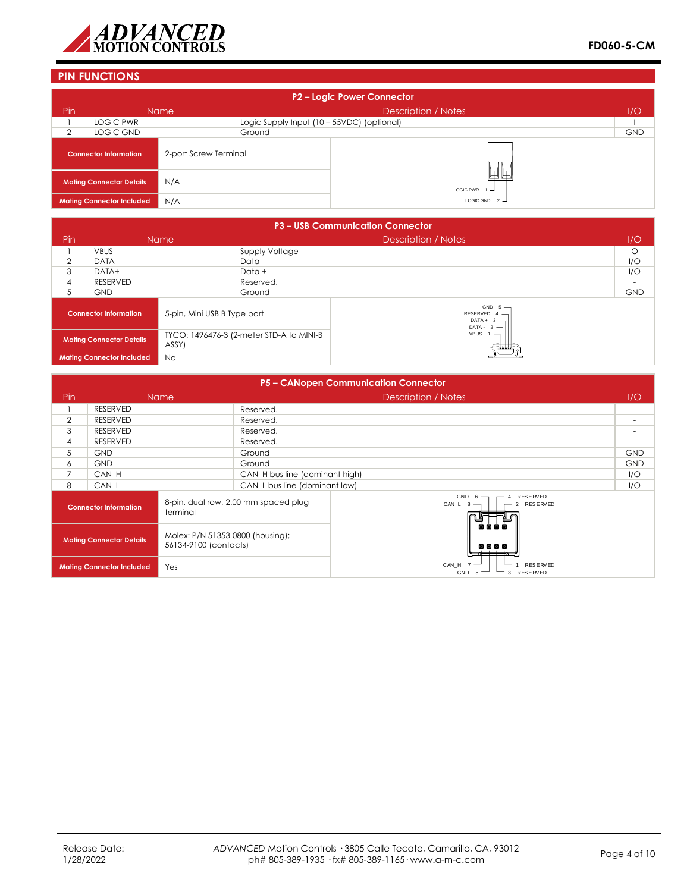

# **PIN FUNCTIONS**

| P2 - Logic Power Connector |                                  |                       |                                            |                            |            |  |  |
|----------------------------|----------------------------------|-----------------------|--------------------------------------------|----------------------------|------------|--|--|
| Pin                        |                                  | <b>Name</b>           |                                            | <b>Description / Notes</b> | 1/O        |  |  |
|                            | <b>LOGIC PWR</b>                 |                       | Logic Supply Input (10 - 55VDC) (optional) |                            |            |  |  |
| 2                          | LOGIC GND                        |                       | Ground                                     |                            | <b>GND</b> |  |  |
|                            | <b>Connector Information</b>     | 2-port Screw Terminal |                                            |                            |            |  |  |
|                            | <b>Mating Connector Details</b>  | N/A                   |                                            | LOGIC PWR $1 -$            |            |  |  |
|                            | <b>Mating Connector Included</b> | N/A                   |                                            | LOGIC GND $2 -$            |            |  |  |

|                                               | <b>P3 - USB Communication Connector</b> |                             |                                          |                                                             |            |  |  |
|-----------------------------------------------|-----------------------------------------|-----------------------------|------------------------------------------|-------------------------------------------------------------|------------|--|--|
| Pin                                           | Name                                    |                             | <b>Description / Notes</b>               |                                                             | I/O        |  |  |
|                                               | <b>VBUS</b>                             |                             | Supply Voltage                           |                                                             | $\circ$    |  |  |
| $\overline{2}$                                | DATA-                                   |                             | Data -                                   |                                                             | I/O        |  |  |
| 3                                             | DATA+                                   |                             | Data +                                   |                                                             |            |  |  |
| 4                                             | RESERVED                                |                             | Reserved.                                |                                                             |            |  |  |
| 5                                             | <b>GND</b>                              |                             | Ground                                   |                                                             | <b>GND</b> |  |  |
| <b>Connector Information</b>                  |                                         | 5-pin, Mini USB B Type port |                                          | GND $5 -$<br>RESERVED $4 -$<br>$DATA + 3 -$<br>DATA - $2 -$ |            |  |  |
| <b>Mating Connector Details</b><br>ASSY)      |                                         |                             | TYCO: 1496476-3 (2-meter STD-A to MINI-B | VBUS <sub>1</sub>                                           |            |  |  |
| <b>No</b><br><b>Mating Connector Included</b> |                                         |                             |                                          |                                                             |            |  |  |

|                                                                                              | P5 - CANopen Communication Connector |                                      |                                                          |                                                       |                          |  |
|----------------------------------------------------------------------------------------------|--------------------------------------|--------------------------------------|----------------------------------------------------------|-------------------------------------------------------|--------------------------|--|
| Pin                                                                                          |                                      | <b>Name</b>                          |                                                          | Description / Notes                                   | 1/O                      |  |
|                                                                                              | <b>RESERVED</b>                      |                                      | Reserved.                                                |                                                       | $\overline{\phantom{a}}$ |  |
| $\overline{2}$                                                                               | <b>RESERVED</b>                      |                                      | Reserved.                                                |                                                       | ٠                        |  |
| 3                                                                                            | <b>RESERVED</b>                      |                                      | Reserved.                                                |                                                       |                          |  |
| 4                                                                                            | <b>RESERVED</b>                      |                                      | Reserved.                                                |                                                       |                          |  |
| 5                                                                                            | <b>GND</b>                           |                                      | Ground                                                   |                                                       | <b>GND</b>               |  |
| 6                                                                                            | <b>GND</b>                           |                                      | Ground                                                   |                                                       | <b>GND</b>               |  |
| $\overline{7}$                                                                               | CAN H                                |                                      | CAN_H bus line (dominant high)                           |                                                       | I/O                      |  |
| 8                                                                                            | CAN L                                |                                      | CAN L bus line (dominant low)                            |                                                       | I/O                      |  |
| <b>Connector Information</b><br>terminal                                                     |                                      | 8-pin, dual row, 2.00 mm spaced plug | GND<br><b>RESERVED</b><br>6<br>CAN_L $8$ -<br>2 RESERVED |                                                       |                          |  |
| Molex: P/N 51353-0800 (housing);<br><b>Mating Connector Details</b><br>56134-9100 (contacts) |                                      |                                      | 网间间面<br>网间回回<br>71 THE THE                               |                                                       |                          |  |
|                                                                                              | <b>Mating Connector Included</b>     | Yes                                  |                                                          | CAN_H 7<br><b>RESERVED</b><br>3 RESERVED<br>GND<br>-5 |                          |  |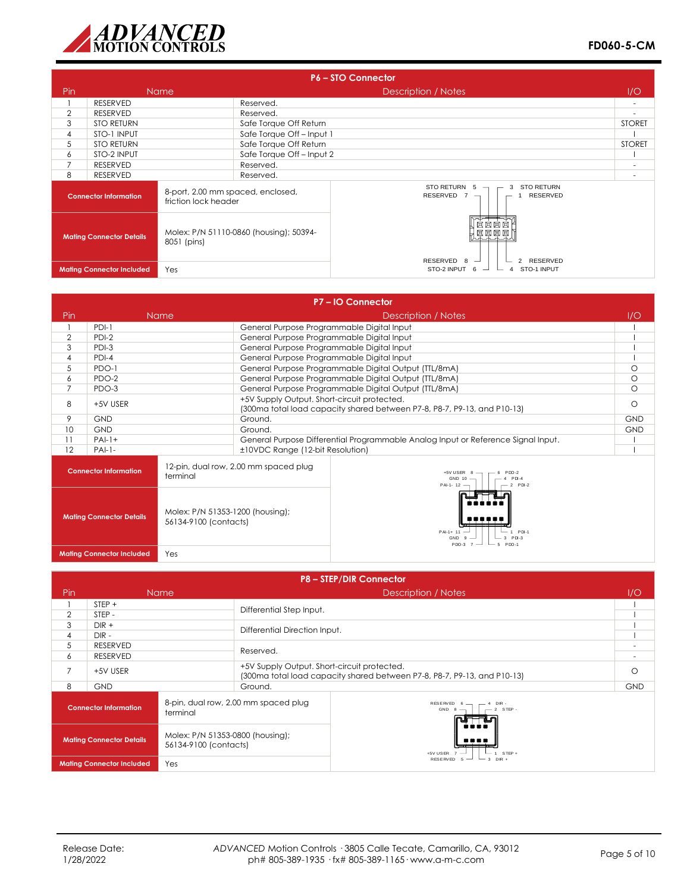

|                                                                                           | <b>P6-STO Connector</b>          |                                         |                                                                                 |                                                                   |                          |  |
|-------------------------------------------------------------------------------------------|----------------------------------|-----------------------------------------|---------------------------------------------------------------------------------|-------------------------------------------------------------------|--------------------------|--|
| Pin.                                                                                      |                                  | <b>Name</b>                             |                                                                                 | Description / Notes                                               | 1/O                      |  |
|                                                                                           | RESERVED                         |                                         | Reserved.                                                                       |                                                                   | $\overline{\phantom{a}}$ |  |
| $\overline{2}$                                                                            | RESERVED                         |                                         | Reserved.                                                                       |                                                                   | ٠                        |  |
| 3                                                                                         | <b>STO RETURN</b>                |                                         | Safe Torque Off Return                                                          |                                                                   | <b>STORET</b>            |  |
| 4                                                                                         | STO-1 INPUT                      |                                         | Safe Torque Off-Input 1                                                         |                                                                   |                          |  |
| 5                                                                                         | <b>STO RETURN</b>                |                                         | Safe Torque Off Return                                                          |                                                                   | <b>STORET</b>            |  |
| 6                                                                                         | STO-2 INPUT                      |                                         | Safe Torque Off-Input 2                                                         |                                                                   |                          |  |
| $\overline{7}$                                                                            | RESERVED                         |                                         | Reserved.                                                                       |                                                                   | ٠                        |  |
| 8                                                                                         | RESERVED                         | Reserved.                               |                                                                                 |                                                                   |                          |  |
| 8-port, 2.00 mm spaced, enclosed,<br><b>Connector Information</b><br>friction lock header |                                  |                                         | STO RETURN $5 -$<br><b>STO RETURN</b><br>3<br>RESERVED $7 -$<br><b>RESERVED</b> |                                                                   |                          |  |
| <b>Mating Connector Details</b><br>8051 (pins)                                            |                                  | Molex: P/N 51110-0860 (housing); 50394- |                                                                                 |                                                                   |                          |  |
|                                                                                           | <b>Mating Connector Included</b> | Yes                                     |                                                                                 | RESERVED 8 $-$<br>2 RESERVED<br>STO-2 INPUT 6<br>STO-1 INPUT<br>4 |                          |  |

|                                                                                              |                                          |                                                                      |                                                                                                                         | P7-IO Connector                                                                |            |
|----------------------------------------------------------------------------------------------|------------------------------------------|----------------------------------------------------------------------|-------------------------------------------------------------------------------------------------------------------------|--------------------------------------------------------------------------------|------------|
| Pin                                                                                          |                                          | <b>Name</b>                                                          |                                                                                                                         | Description / Notes                                                            | 1/O        |
|                                                                                              | $PDI-1$                                  |                                                                      | General Purpose Programmable Digital Input                                                                              |                                                                                |            |
| $\overline{2}$                                                                               | $PDI-2$                                  |                                                                      | General Purpose Programmable Digital Input                                                                              |                                                                                |            |
| 3                                                                                            | $PDI-3$                                  |                                                                      | General Purpose Programmable Digital Input                                                                              |                                                                                |            |
| $\overline{4}$                                                                               | $PDI-4$                                  |                                                                      | General Purpose Programmable Digital Input                                                                              |                                                                                |            |
| 5                                                                                            | PDO-1                                    |                                                                      |                                                                                                                         | General Purpose Programmable Digital Output (TTL/8mA)                          | $\circ$    |
| 6                                                                                            | PDO-2                                    |                                                                      |                                                                                                                         | General Purpose Programmable Digital Output (TTL/8mA)                          | $\circ$    |
| 7                                                                                            | PDO-3                                    |                                                                      |                                                                                                                         | General Purpose Programmable Digital Output (TTL/8mA)                          | $\Omega$   |
| 8                                                                                            | +5V USER                                 |                                                                      | +5V Supply Output. Short-circuit protected.<br>(300ma total load capacity shared between P7-8, P8-7, P9-13, and P10-13) | $\circ$                                                                        |            |
| 9                                                                                            | <b>GND</b>                               |                                                                      | Ground.                                                                                                                 |                                                                                | <b>GND</b> |
| 10                                                                                           | <b>GND</b>                               |                                                                      | Ground.                                                                                                                 |                                                                                | <b>GND</b> |
| 11                                                                                           | $PAI-1+$                                 |                                                                      | General Purpose Differential Programmable Analog Input or Reference Signal Input.                                       |                                                                                |            |
| 12                                                                                           | $PAI-1-$                                 |                                                                      | ±10VDC Range (12-bit Resolution)                                                                                        |                                                                                |            |
|                                                                                              | <b>Connector Information</b><br>terminal |                                                                      | 12-pin, dual row, 2.00 mm spaced plug                                                                                   | $+5V$ USER $8 -$<br>$PDO-2$<br>$GND 10 -$<br>PDI-4<br>PAI-1-12 -<br>$-2$ PDI-2 |            |
| Molex: P/N 51353-1200 (housing);<br><b>Mating Connector Details</b><br>56134-9100 (contacts) |                                          | 1 PDI-1<br>$PAI-1+ 11$<br>3 PDI-3<br><b>GND</b><br>$P$ DO-3<br>PDQ-1 |                                                                                                                         |                                                                                |            |
|                                                                                              | <b>Mating Connector Included</b>         | Yes                                                                  |                                                                                                                         |                                                                                |            |

|                                          | <b>P8-STEP/DIR Connector</b>     |                                                           |                                                  |                                                                          |            |  |
|------------------------------------------|----------------------------------|-----------------------------------------------------------|--------------------------------------------------|--------------------------------------------------------------------------|------------|--|
| Pin.                                     |                                  | <b>Name</b>                                               |                                                  | Description / Notes                                                      | 1/O        |  |
|                                          | $STEP +$                         |                                                           | Differential Step Input.                         |                                                                          |            |  |
| 2                                        | STEP-                            |                                                           |                                                  |                                                                          |            |  |
| 3                                        | $DIR +$                          |                                                           | Differential Direction Input.                    |                                                                          |            |  |
| 4                                        | $DIR -$                          |                                                           |                                                  |                                                                          |            |  |
| 5                                        | <b>RESERVED</b>                  |                                                           | Reserved.                                        |                                                                          |            |  |
| 6                                        | <b>RESERVED</b>                  |                                                           |                                                  |                                                                          |            |  |
| $\overline{7}$                           | +5V USER                         |                                                           | +5V Supply Output. Short-circuit protected.      | (300ma total load capacity shared between P7-8, P8-7, P9-13, and P10-13) | ∩          |  |
| 8                                        | <b>GND</b>                       |                                                           | Ground.                                          |                                                                          | <b>GND</b> |  |
| <b>Connector Information</b><br>terminal |                                  | 8-pin, dual row, 2.00 mm spaced plug                      | RESERVED 6<br>DIR-<br>$-2$ STEP -<br>$GND 8$ $-$ |                                                                          |            |  |
| <b>Mating Connector Details</b>          |                                  | Molex: P/N 51353-0800 (housing);<br>56134-9100 (contacts) | +5V USER<br>— 1 STEP +                           |                                                                          |            |  |
|                                          | <b>Mating Connector Included</b> | Yes                                                       |                                                  | $-3$ DIR +<br>RESERVED 5                                                 |            |  |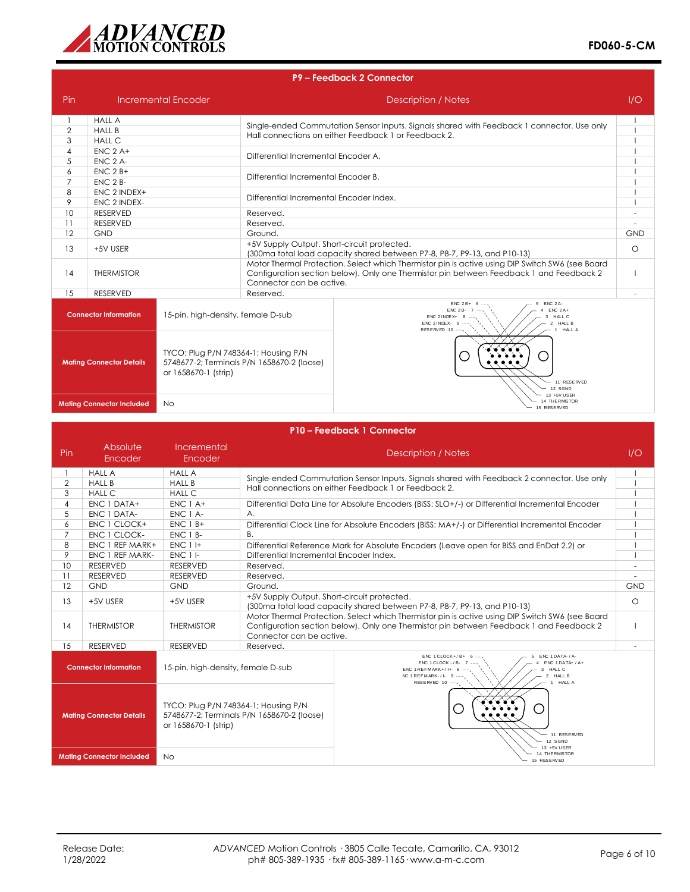

| P9 - Feedback 2 Connector                                                                       |                                                 |                                                                      |                                                      |                                                                                                                                                                             |            |
|-------------------------------------------------------------------------------------------------|-------------------------------------------------|----------------------------------------------------------------------|------------------------------------------------------|-----------------------------------------------------------------------------------------------------------------------------------------------------------------------------|------------|
| Pin                                                                                             |                                                 | <b>Incremental Encoder</b>                                           |                                                      | Description / Notes                                                                                                                                                         | 1/O        |
| $\overline{2}$<br>3                                                                             | <b>HALL A</b><br><b>HALL B</b><br><b>HALL C</b> |                                                                      |                                                      | Single-ended Commutation Sensor Inputs. Signals shared with Feedback 1 connector. Use only<br>Hall connections on either Feedback 1 or Feedback 2.                          |            |
| $\overline{4}$<br>5<br>6                                                                        | $ENC$ $2A+$<br><b>ENC 2 A-</b><br>$ENC$ 2 $B+$  |                                                                      | Differential Incremental Encoder A.                  |                                                                                                                                                                             |            |
| $\overline{7}$<br>8                                                                             | <b>ENC 2 B-</b><br>ENC 2 INDEX+                 |                                                                      | Differential Incremental Encoder B.                  |                                                                                                                                                                             |            |
| 9<br>10                                                                                         | ENC 2 INDEX-<br><b>RESERVED</b>                 |                                                                      | Differential Incremental Encoder Index.<br>Reserved. |                                                                                                                                                                             | ٠          |
| 11<br>12                                                                                        | <b>RESERVED</b><br><b>GND</b>                   |                                                                      | Reserved.<br>Ground.                                 |                                                                                                                                                                             | <b>GND</b> |
| 13                                                                                              | +5V USER                                        |                                                                      | +5V Supply Output. Short-circuit protected.          | (300mg total load capacity shared between P7-8, P8-7, P9-13, and P10-13)<br>Motor Thermal Protection. Select which Thermistor pin is active using DIP Switch SW6 (see Board | $\circ$    |
| 14                                                                                              | <b>THERMISTOR</b>                               |                                                                      | Connector can be active.                             | Configuration section below). Only one Thermistor pin between Feedback 1 and Feedback 2                                                                                     |            |
| 15                                                                                              | <b>RESERVED</b>                                 |                                                                      | Reserved.                                            |                                                                                                                                                                             |            |
|                                                                                                 | <b>Connector Information</b>                    | 15-pin, high-density, female D-sub                                   |                                                      | $ENC 2B + 6$<br><b>ENC 2A-</b><br>$ENC 2A+$<br>$ENC$ $2B$ -<br>HALL C<br>ENC 2 INDEX+<br>3<br>$ENC$ 2 INDEX- $9$ --<br>2 HALL B<br>RESERVED 10 --<br>HALL A                 |            |
| TYCO: Plug P/N 748364-1; Housing P/N<br><b>Mating Connector Details</b><br>or 1658670-1 (strip) |                                                 | 5748677-2; Terminals P/N 1658670-2 (loose)<br>11 RESERVED<br>12 SGND |                                                      |                                                                                                                                                                             |            |
|                                                                                                 | <b>Mating Connector Included</b>                | <b>No</b>                                                            |                                                      | 13 +5V USER<br><b>THE RMISTOR</b><br>15 RESERVED                                                                                                                            |            |

|                                                                                                 | P10 - Feedback 1 Connector                                                                                                              |                                                                                                                              |                                                                                                                                                                                                                                                                                                                                                                                                                                                                                                                    |            |  |  |
|-------------------------------------------------------------------------------------------------|-----------------------------------------------------------------------------------------------------------------------------------------|------------------------------------------------------------------------------------------------------------------------------|--------------------------------------------------------------------------------------------------------------------------------------------------------------------------------------------------------------------------------------------------------------------------------------------------------------------------------------------------------------------------------------------------------------------------------------------------------------------------------------------------------------------|------------|--|--|
| Pin                                                                                             | Absolute<br>Encoder                                                                                                                     | Incremental<br>Encoder                                                                                                       | Description / Notes                                                                                                                                                                                                                                                                                                                                                                                                                                                                                                | 1/O        |  |  |
| $\overline{2}$<br>3<br>4<br>5<br>6<br>7<br>8                                                    | <b>HALL A</b><br><b>HALL B</b><br><b>HALL C</b><br><b>ENC 1 DATA+</b><br>ENC 1 DATA-<br>ENC 1 CLOCK+<br>ENC 1 CLOCK-<br>ENC 1 REF MARK+ | <b>HALL A</b><br><b>HALL B</b><br><b>HALL C</b><br>$ENC$ 1 A+<br>ENC 1 A-<br>$ENC$ 1 $B+$<br>ENC 1 B-<br>ENC 1H<br>$ENC1$  - | Single-ended Commutation Sensor Inputs. Signals shared with Feedback 2 connector. Use only<br>Hall connections on either Feedback 1 or Feedback 2.<br>Differential Data Line for Absolute Encoders (BiSS: SLO+/-) or Differential Incremental Encoder<br>A.<br>Differential Clock Line for Absolute Encoders (BiSS: MA+/-) or Differential Incremental Encoder<br><b>B.</b><br>Differential Reference Mark for Absolute Encoders (Leave open for BiSS and EnDat 2.2) or<br>Differential Incremental Encoder Index. |            |  |  |
| 9<br>10<br>11<br>12                                                                             | ENC 1 REF MARK-<br><b>RESERVED</b><br><b>RESERVED</b><br><b>GND</b>                                                                     | <b>RESERVED</b><br><b>RESERVED</b><br>GND                                                                                    | Reserved.<br>Reserved.<br>Ground.                                                                                                                                                                                                                                                                                                                                                                                                                                                                                  | <b>GND</b> |  |  |
| 13                                                                                              | +5V USER                                                                                                                                | +5V USER                                                                                                                     | +5V Supply Output. Short-circuit protected.<br>(300ma total load capacity shared between P7-8, P8-7, P9-13, and P10-13)                                                                                                                                                                                                                                                                                                                                                                                            |            |  |  |
| 14                                                                                              | <b>THERMISTOR</b>                                                                                                                       | <b>THERMISTOR</b>                                                                                                            | Motor Thermal Protection, Select which Thermistor pin is active using DIP Switch SW6 (see Board<br>Configuration section below). Only one Thermistor pin between Feedback 1 and Feedback 2<br>Connector can be active.                                                                                                                                                                                                                                                                                             |            |  |  |
| 15                                                                                              | <b>RESERVED</b>                                                                                                                         | <b>RESERVED</b>                                                                                                              | Reserved.                                                                                                                                                                                                                                                                                                                                                                                                                                                                                                          |            |  |  |
|                                                                                                 | <b>Connector Information</b>                                                                                                            | 15-pin, high-density, female D-sub                                                                                           | $ENC$ 1 $C$ LOCK+/ $B+$<br>ENC 1DATA-/A-<br>ENC 1 CLOCK - / B- 7<br>$ENC$ 1 DATA+ $/A +$<br>HALL C<br>$ENC$ 1 REFMARK+/1+ 8<br>2 HALL B<br>NC 1 REFMARK- $/$ I- 9 $-$<br>RESERVED 10 --<br>HALL A<br>$\overline{1}$                                                                                                                                                                                                                                                                                                |            |  |  |
| TYCO: Plug P/N 748364-1; Housing P/N<br><b>Mating Connector Details</b><br>or 1658670-1 (strip) |                                                                                                                                         |                                                                                                                              | 5748677-2; Terminals P/N 1658670-2 (loose)<br>11 RESERVED<br>12 SGND                                                                                                                                                                                                                                                                                                                                                                                                                                               |            |  |  |
|                                                                                                 | <b>Mating Connector Included</b>                                                                                                        | No.                                                                                                                          | 13 +5V USER<br>14 THE RMISTOR<br>15 RESERVED                                                                                                                                                                                                                                                                                                                                                                                                                                                                       |            |  |  |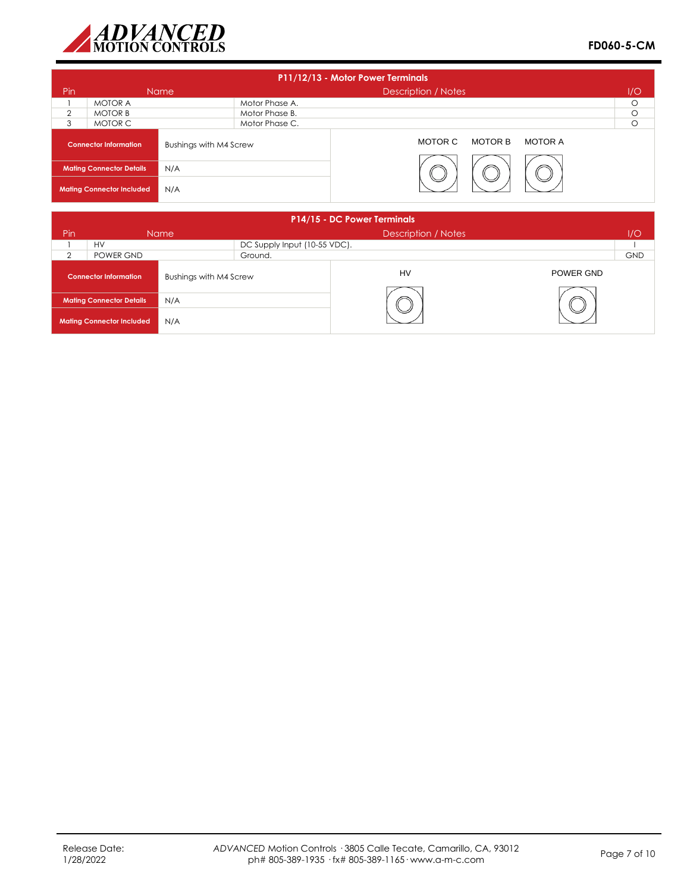

| P11/12/13 - Motor Power Terminals |                                  |                        |                |                                      |         |  |  |
|-----------------------------------|----------------------------------|------------------------|----------------|--------------------------------------|---------|--|--|
| Pin                               |                                  | Name                   |                | Description / Notes                  | 1/O     |  |  |
|                                   | <b>MOTOR A</b>                   |                        | Motor Phase A. |                                      | $\circ$ |  |  |
| $\overline{2}$                    | <b>MOTOR B</b>                   |                        | Motor Phase B. |                                      | $\circ$ |  |  |
| 3                                 | MOTOR C                          |                        | Motor Phase C. |                                      | $\circ$ |  |  |
|                                   | <b>Connector Information</b>     | Bushings with M4 Screw |                | <b>MOTOR B</b><br>MOTOR A<br>MOTOR C |         |  |  |
|                                   | <b>Mating Connector Details</b>  | N/A                    |                |                                      |         |  |  |
|                                   | <b>Mating Connector Included</b> | N/A                    |                |                                      |         |  |  |

|          |                                  |                        |                              | P14/15 - DC Power Terminals |           |            |
|----------|----------------------------------|------------------------|------------------------------|-----------------------------|-----------|------------|
| Pin      |                                  | <b>Name</b>            |                              | <b>Description / Notes</b>  |           | 1/O        |
|          | <b>HV</b>                        |                        | DC Supply Input (10-55 VDC). |                             |           |            |
| $\Omega$ | POWER GND                        |                        | Ground.                      |                             |           | <b>GND</b> |
|          | <b>Connector Information</b>     | Bushings with M4 Screw |                              | HV                          | POWER GND |            |
|          | <b>Mating Connector Details</b>  | N/A                    |                              |                             |           |            |
|          | <b>Mating Connector Included</b> | N/A                    |                              |                             |           |            |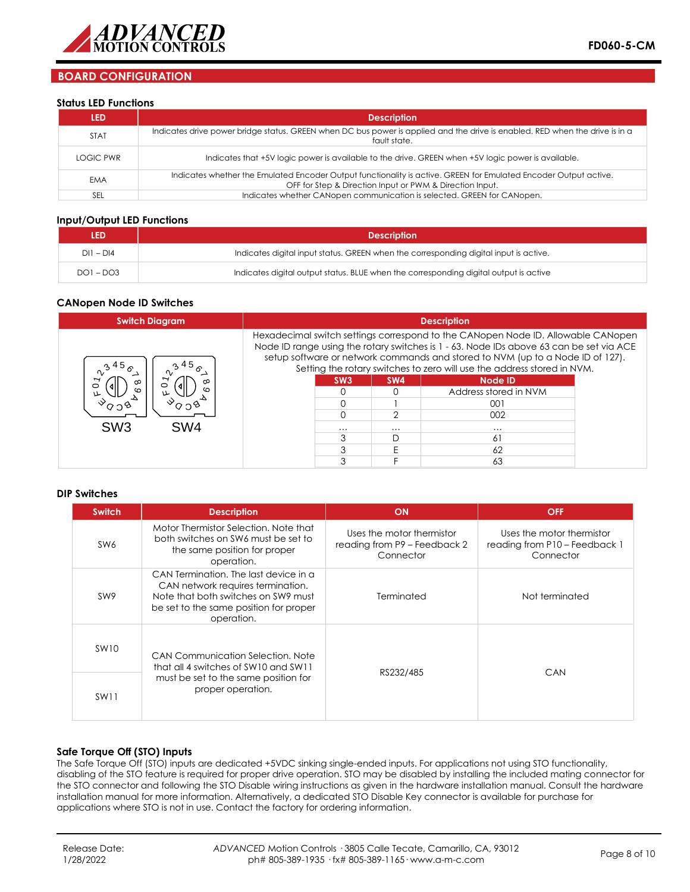

# **BOARD CONFIGURATION**

#### **Status LED Functions**

| LED         | <b>Description</b>                                                                                                                                                           |
|-------------|------------------------------------------------------------------------------------------------------------------------------------------------------------------------------|
| <b>STAT</b> | Indicates drive power bridge status. GREEN when DC bus power is applied and the drive is enabled. RED when the drive is in a<br>fault state.                                 |
| LOGIC PWR   | Indicates that +5V logic power is available to the drive. GREEN when +5V logic power is available.                                                                           |
| <b>EMA</b>  | Indicates whether the Emulated Encoder Output functionality is active. GREEN for Emulated Encoder Output active.<br>OFF for Step & Direction Input or PWM & Direction Input. |
| SEL         | Indicates whether CANopen communication is selected. GREEN for CANopen.                                                                                                      |

### **Input/Output LED Functions**

| led         | <b>Description</b>                                                                    |  |
|-------------|---------------------------------------------------------------------------------------|--|
| $DI1 - DI4$ | Indicates digital input status. GREEN when the corresponding digital input is active. |  |
| $DO1 - DO3$ | Indicates digital output status. BLUE when the corresponding digital output is active |  |

### **CANopen Node ID Switches**

| <b>Switch Diagram</b>             | <b>Description</b> |                 |          |                                                                                                                                                                                                                                                                                                                                                                                     |  |
|-----------------------------------|--------------------|-----------------|----------|-------------------------------------------------------------------------------------------------------------------------------------------------------------------------------------------------------------------------------------------------------------------------------------------------------------------------------------------------------------------------------------|--|
| Ω,<br>ထ<br>∞<br>$\circ$<br>ທ<br>ຕ |                    | SW <sub>3</sub> | SW4      | Hexadecimal switch settings correspond to the CANopen Node ID. Allowable CANopen<br>Node ID range using the rotary switches is 1 - 63. Node IDs above 63 can be set via ACE<br>setup software or network commands and stored to NVM (up to a Node ID of 127).<br>Setting the rotary switches to zero will use the address stored in NVM.<br><b>Node ID</b><br>Address stored in NVM |  |
|                                   |                    |                 |          | 001                                                                                                                                                                                                                                                                                                                                                                                 |  |
|                                   |                    |                 |          | 002                                                                                                                                                                                                                                                                                                                                                                                 |  |
| SW <sub>3</sub><br>SW4            |                    | $\cdots$        | $\cdots$ |                                                                                                                                                                                                                                                                                                                                                                                     |  |
|                                   |                    |                 |          | 61                                                                                                                                                                                                                                                                                                                                                                                  |  |
|                                   |                    |                 |          | 62                                                                                                                                                                                                                                                                                                                                                                                  |  |
|                                   |                    |                 |          | 63                                                                                                                                                                                                                                                                                                                                                                                  |  |

#### **DIP Switches**

| <b>Switch</b>    | <b>Description</b>                                                                                                                                                        | ON                                                                     | <b>OFF</b>                                                              |  |
|------------------|---------------------------------------------------------------------------------------------------------------------------------------------------------------------------|------------------------------------------------------------------------|-------------------------------------------------------------------------|--|
| SW <sub>6</sub>  | Motor Thermistor Selection. Note that<br>both switches on SW6 must be set to<br>the same position for proper<br>operation.                                                | Uses the motor thermistor<br>reading from P9 - Feedback 2<br>Connector | Uses the motor thermistor<br>reading from P10 - Feedback 1<br>Connector |  |
| SW <sub>9</sub>  | CAN Termination. The last device in a<br>CAN network requires termination.<br>Note that both switches on SW9 must<br>be set to the same position for proper<br>operation. | Terminated                                                             | Not terminated                                                          |  |
| SW10             | CAN Communication Selection, Note<br>that all 4 switches of SW10 and SW11                                                                                                 | RS232/485                                                              | CAN                                                                     |  |
| SW <sub>11</sub> | must be set to the same position for<br>proper operation.                                                                                                                 |                                                                        |                                                                         |  |

### **Safe Torque Off (STO) Inputs**

The Safe Torque Off (STO) inputs are dedicated +5VDC sinking single-ended inputs. For applications not using STO functionality, disabling of the STO feature is required for proper drive operation. STO may be disabled by installing the included mating connector for the STO connector and following the STO Disable wiring instructions as given in the hardware installation manual. Consult the hardware installation manual for more information. Alternatively, a dedicated STO Disable Key connector is available for purchase for applications where STO is not in use. Contact the factory for ordering information.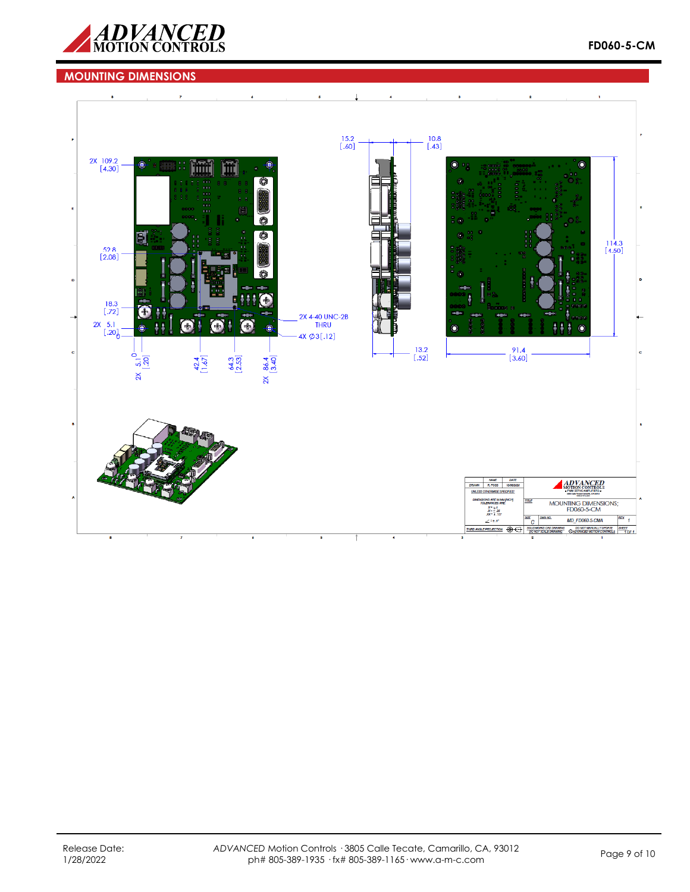

# **MOUNTING DIMENSIONS**